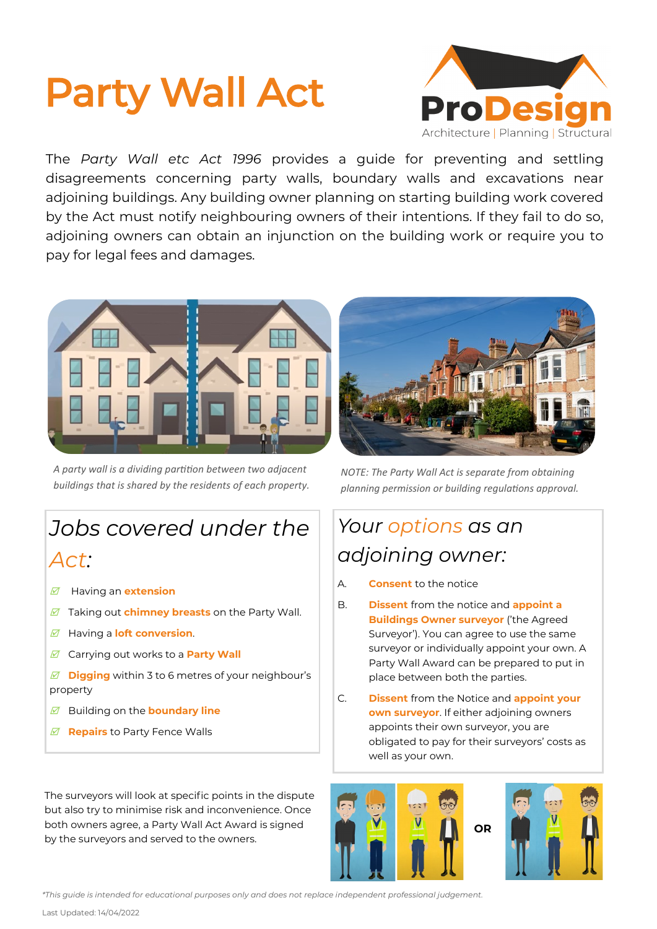# Party Wall Act



The *Party Wall etc Act 1996* provides a guide for preventing and settling disagreements concerning party walls, boundary walls and excavations near adjoining buildings. Any building owner planning on starting building work covered by the Act must notify neighbouring owners of their intentions. If they fail to do so, adjoining owners can obtain an injunction on the building work or require you to pay for legal fees and damages.



*A party wall is a dividing partition between two adjacent buildings that is shared by the residents of each property.*

# *Jobs covered under the*

### *Act:*

- Having an **extension**
- Taking out **chimney breasts** on the Party Wall.
- Having a **loft conversion**.
- Carrying out works to a **Party Wall**
- *M* Digging within 3 to 6 metres of your neighbour's property
- Building on the **boundary line**
- *<b>Ø* Repairs to Party Fence Walls

The surveyors will look at specific points in the dispute but also try to minimise risk and inconvenience. Once both owners agree, a Party Wall Act Award is signed by the surveyors and served to the owners.



*NOTE: The Party Wall Act is separate from obtaining planning permission or building regulations approval.* 

### *Your options as an adjoining owner:*

- A. **Consent** to the notice
- B. **Dissent** from the notice and **appoint a Buildings Owner surveyor** ('the Agreed Surveyor'). You can agree to use the same surveyor or individually appoint your own. A Party Wall Award can be prepared to put in place between both the parties.
- C. **Dissent** from the Notice and **appoint your own surveyor**. If either adjoining owners appoints their own surveyor, you are obligated to pay for their surveyors' costs as well as your own.





*\*This guide is intended for educational purposes only and does not replace independent professional judgement.* 

Last Updated: 14/04/2022